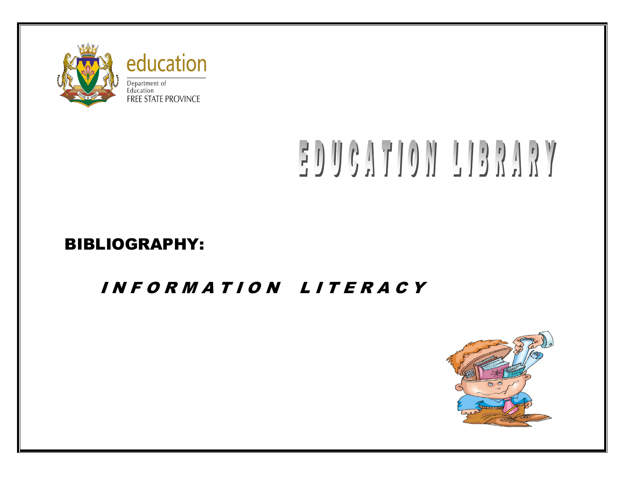

# EDUCATION LIBRARY

## BIBLIOGRAPHY:

## I N F O R M A T I O N L I T E R A C Y

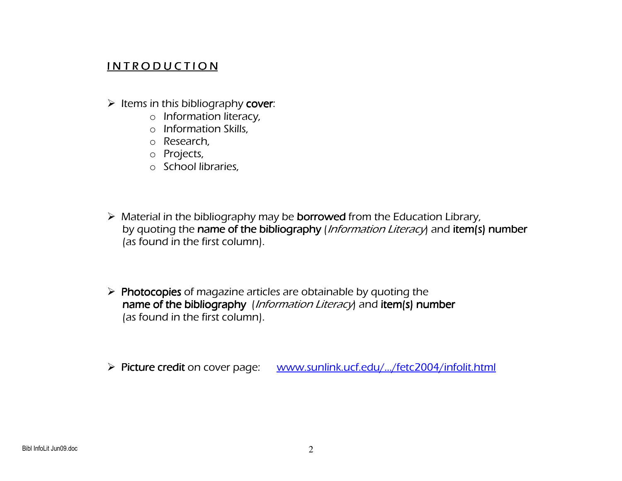### IN TRODUCTION

- Items in this bibliography cover:<br>a leformation literacy
	- o Information literacy,
	- o Information Skills,
	- o Research,
	- o Projects,
	- o School libraries,
- $\triangleright$  Material in the bibliography may be **borrowed** from the Education Library,<br>by quoting the **pame of the bibliography** Unformation Literacy and **item(s)** by quoting the **name of the bibliography** (*Information Literacy*) and **item(s) number** item (s) **number** it and item(s) number (as found in the first column).
- $\triangleright$  Photocopies of magazine articles are obtainable by quoting the harmonic bundle by  $\frac{1}{2}$ name of the bibliography *(Information Literacy*) and item(s) number (as found in the first column).
- Picture credit on cover page: www.sunlink.ucf.edu/.../fetc2004/infolit.html<br>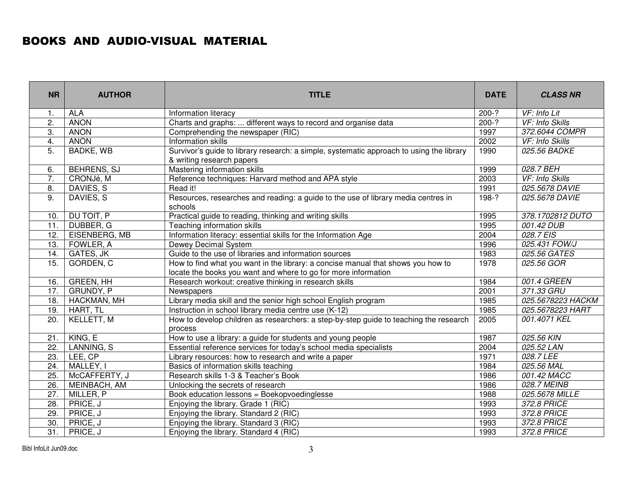#### BOOKS AND AUDIO-VISUAL MATERIAL

| <b>NR</b>        | <b>AUTHOR</b>      | <b>TITLE</b>                                                                                                                                       |             | <b>CLASS NR</b>   |
|------------------|--------------------|----------------------------------------------------------------------------------------------------------------------------------------------------|-------------|-------------------|
| 1.               | <b>ALA</b>         | Information literacy                                                                                                                               | $200-?$     | VF: Info Lit      |
| $\overline{2}$ . | <b>ANON</b>        | Charts and graphs:  different ways to record and organise data                                                                                     | $200-?$     | VF: Info Skills   |
| 3.               | <b>ANON</b>        | Comprehending the newspaper (RIC)                                                                                                                  | 1997        | 372.6044 COMPR    |
| 4.               | <b>ANON</b>        | Information skills                                                                                                                                 | 2002        | VF: Info Skills   |
| 5.               | <b>BADKE, WB</b>   | Survivor's guide to library research: a simple, systematic approach to using the library                                                           | 1990        | 025.56 BADKE      |
|                  |                    | & writing research papers                                                                                                                          |             |                   |
| 6.               | <b>BEHRENS, SJ</b> | Mastering information skills                                                                                                                       | 1999        | 028.7 BEH         |
| 7.               | CRONJé, M          | Reference techniques: Harvard method and APA style                                                                                                 | 2003        | VF: Info Skills   |
| 8.               | DAVIES, S          | Read it!                                                                                                                                           | 1991        | 025.5678 DAVIE    |
| 9.               | DAVIES, S          | Resources, researches and reading: a guide to the use of library media centres in<br>schools                                                       | 198-?       | 025.5678 DAVIE    |
| 10.              | DU TOIT, P         | Practical guide to reading, thinking and writing skills                                                                                            | 1995        | 378.1702812 DUTO  |
| 11.              | DUBBER, G          | <b>Teaching information skills</b>                                                                                                                 | 1995        | 001.42 DUB        |
| 12.              | EISENBERG, MB      | Information literacy: essential skills for the Information Age                                                                                     | 2004        | 028.7 EIS         |
| 13.              | FOWLER, A          | Dewey Decimal System                                                                                                                               | 1996        | 025.431 FOW/J     |
| 14.              | GATES, JK          | Guide to the use of libraries and information sources                                                                                              |             | 025.56 GATES      |
| 15.              | GORDEN, C          | How to find what you want in the library: a concise manual that shows you how to<br>locate the books you want and where to go for more information |             | 025.56 GOR        |
| 16.              | <b>GREEN, HH</b>   | Research workout: creative thinking in research skills                                                                                             |             | 001.4 GREEN       |
| 17.              | GRUNDY, P          | Newspapers                                                                                                                                         |             | 371.33 GRU        |
| 18.              | HACKMAN, MH        | Library media skill and the senior high school English program                                                                                     |             | 025.5678223 HACKM |
| 19.              | HART, TL           | Instruction in school library media centre use (K-12)                                                                                              | 1985        | 025.5678223 HART  |
| 20.              | KELLETT, M         | How to develop children as researchers: a step-by-step guide to teaching the research<br>process                                                   |             | 001.4071 KEL      |
| 21.              | KING, E            | How to use a library: a guide for students and young people                                                                                        | 1987        | 025.56 KIN        |
| 22.              | LANNING, S         | Essential reference services for today's school media specialists                                                                                  | 2004        | 025.52 LAN        |
| 23.              | LEE, CP            | Library resources: how to research and write a paper                                                                                               | 1971        | 028.7 LEE         |
| 24.              | MALLEY, I          | Basics of information skills teaching                                                                                                              | 1984        | 025.56 MAL        |
| 25.              | McCAFFERTY, J      | Research skills 1-3 & Teacher's Book                                                                                                               | 1986        | 001.42 MACC       |
| 26.              | MEINBACH, AM       | 1986<br>Unlocking the secrets of research                                                                                                          |             | 028.7 MEINB       |
| 27.              | MILLER, P          | Book education lessons = Boekopvoedinglesse<br>1988                                                                                                |             | 025.5678 MILLE    |
| 28.              | PRICE, J           | 372.8 PRICE<br>Enjoying the library. Grade 1 (RIC)<br>1993                                                                                         |             |                   |
| 29.              | PRICE, J           | 372.8 PRICE<br>Enjoying the library. Standard 2 (RIC)<br>1993                                                                                      |             |                   |
| 30.              | PRICE, J           | 372.8 PRICE<br>1993<br>Enjoying the library. Standard 3 (RIC)                                                                                      |             |                   |
| 31.              | PRICE, J           | Enjoying the library. Standard 4 (RIC)                                                                                                             | 372.8 PRICE |                   |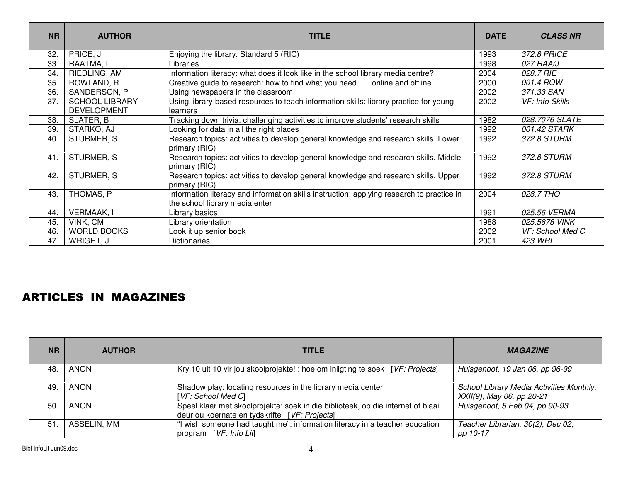| <b>NR</b> | <b>AUTHOR</b>                               | <b>TITLE</b>                                                                                                                |      | <b>CLASS NR</b>  |
|-----------|---------------------------------------------|-----------------------------------------------------------------------------------------------------------------------------|------|------------------|
| 32.       | PRICE, J                                    | Enjoying the library. Standard 5 (RIC)                                                                                      | 1993 | 372.8 PRICE      |
| 33.       | RAATMA, L                                   | Libraries                                                                                                                   | 1998 | 027 RAA/J        |
| 34.       | RIEDLING, AM                                | Information literacy: what does it look like in the school library media centre?                                            | 2004 | 028.7 RIE        |
| 35.       | ROWLAND, R                                  | Creative guide to research: how to find what you need online and offline                                                    | 2000 | 001.4 ROW        |
| 36.       | SANDERSON, P                                | Using newspapers in the classroom                                                                                           | 2002 | 371.33 SAN       |
| 37.       | <b>SCHOOL LIBRARY</b><br><b>DEVELOPMENT</b> | Using library-based resources to teach information skills: library practice for young<br>2002<br>learners                   |      | VF: Info Skills  |
| 38.       | SLATER, B                                   | Tracking down trivia: challenging activities to improve students' research skills                                           | 1982 | 028.7076 SLATE   |
| 39.       | STARKO, AJ                                  | Looking for data in all the right places                                                                                    |      | 001.42 STARK     |
| 40.       | STURMER, S                                  | Research topics: activities to develop general knowledge and research skills. Lower<br>primary (RIC)                        |      | 372.8 STURM      |
| 41.       | STURMER, S                                  | Research topics: activities to develop general knowledge and research skills. Middle<br>primary (RIC)                       |      | 372.8 STURM      |
| 42.       | STURMER, S                                  | Research topics: activities to develop general knowledge and research skills. Upper<br>primary (RIC)                        |      | 372.8 STURM      |
| 43.       | THOMAS, P                                   | Information literacy and information skills instruction: applying research to practice in<br>the school library media enter |      | 028.7 THO        |
| 44.       | <b>VERMAAK, I</b>                           | Library basics                                                                                                              |      | 025.56 VERMA     |
| 45.       | VINK, CM                                    | Library orientation                                                                                                         |      | 025.5678 VINK    |
| 46.       | <b>WORLD BOOKS</b>                          | Look it up senior book                                                                                                      | 2002 | VF: School Med C |
| 47.       | WRIGHT, J                                   | <b>Dictionaries</b>                                                                                                         | 2001 | 423 WRI          |

#### ARTICLES IN MAGAZINES

| <b>NR</b> | <b>AUTHOR</b> | <b>TITLE</b>                                                                                                                     | <b>MAGAZINE</b>                                                       |
|-----------|---------------|----------------------------------------------------------------------------------------------------------------------------------|-----------------------------------------------------------------------|
| 48        | ANON          | Kry 10 uit 10 vir jou skoolprojekte! : hoe om inligting te soek [VF: Projects]                                                   | Huisgenoot, 19 Jan 06, pp 96-99                                       |
| 49        | <b>ANON</b>   | Shadow play: locating resources in the library media center<br>[VF: School Med C]                                                | School Library Media Activities Monthly,<br>XXII(9), May 06, pp 20-21 |
| 50.       | ANON          | Speel klaar met skoolprojekte: soek in die biblioteek, op die internet of blaai<br>deur ou koernate en tydskrifte [VF: Projects] | Huisgenoot, 5 Feb 04, pp 90-93                                        |
| 51        | ASSELIN, MM   | "I wish someone had taught me": information literacy in a teacher education<br>program [VF: Info Lif]                            | Teacher Librarian, 30(2), Dec 02,<br>pp 10-17                         |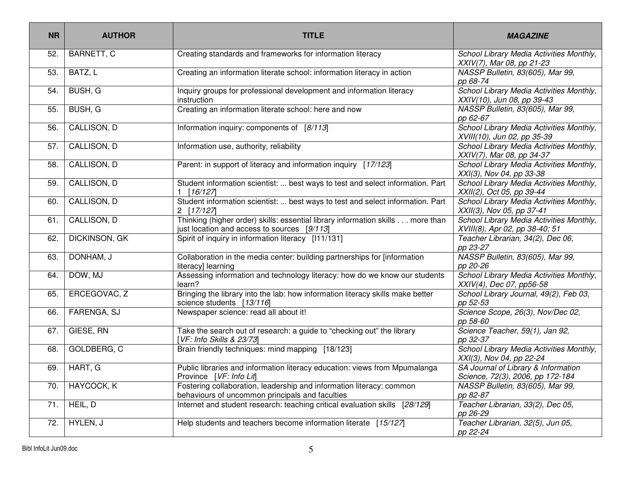| <b>NR</b> | <b>AUTHOR</b>        | <b>TITLE</b>                                                                                                                    | <b>MAGAZINE</b>                                                            |
|-----------|----------------------|---------------------------------------------------------------------------------------------------------------------------------|----------------------------------------------------------------------------|
| 52.       | BARNETT, C           | Creating standards and frameworks for information literacy                                                                      | School Library Media Activities Monthly,<br>XXIV(7), Mar 08, pp 21-23      |
| 53.       | BATZ, L              | Creating an information literate school: information literacy in action                                                         | NASSP Bulletin, 83(605), Mar 99,<br>pp 68-74                               |
| 54.       | BUSH, G              | Inquiry groups for professional development and information literacy<br>instruction                                             | School Library Media Activities Monthly,<br>XXIV(10), Jun 08, pp 39-43     |
| 55.       | BUSH, G              | Creating an information literate school: here and now                                                                           | NASSP Bulletin, 83(605), Mar 99,<br>pp 62-67                               |
| 56.       | CALLISON, D          | Information inquiry: components of [8/113]                                                                                      | School Library Media Activities Monthly,<br>XVIII(10), Jun 02, pp 35-39    |
| 57.       | CALLISON, D          | Information use, authority, reliability                                                                                         | School Library Media Activities Monthly,<br>XXIV(7), Mar 08, pp 34-37      |
| 58.       | CALLISON, D          | Parent: in support of literacy and information inquiry [17/123]                                                                 | School Library Media Activities Monthly,<br>XXI(3), Nov 04, pp 33-38       |
| 59.       | CALLISON, D          | Student information scientist:  best ways to test and select information. Part<br>[16/127]                                      | School Library Media Activities Monthly,<br>XXII(2), Oct 05, pp 39-44      |
| 60.       | CALLISON, D          | Student information scientist:  best ways to test and select information. Part<br>2 [17/127]                                    | School Library Media Activities Monthly,<br>XXII(3), Nov 05, pp 37-41      |
| 61.       | CALLISON, D          | Thinking (higher order) skills: essential library information skills more than<br>just location and access to sources $[9/113]$ | School Library Media Activities Monthly,<br>XVIII(8), Apr 02, pp 38-40; 51 |
| 62.       | <b>DICKINSON, GK</b> | Spirit of inquiry in information literacy [111/131]                                                                             | Teacher Librarian, 34(2), Dec 06,<br>pp 23-27                              |
| 63.       | DONHAM, J            | Collaboration in the media center: building partnerships for [information<br>literacy] learning                                 | NASSP Bulletin, 83(605), Mar 99,<br>pp 20-26                               |
| 64.       | DOW, MJ              | Assessing information and technology literacy: how do we know our students<br>learn?                                            | School Library Media Activities Monthly,<br>XXIV(4), Dec 07, pp56-58       |
| 65.       | ERCEGOVAC, Z         | Bringing the library into the lab: how information literacy skills make better<br>science students [13/116]                     | School Library Journal, 49(2), Feb 03,<br>pp 52-53                         |
| 66.       | FARENGA, SJ          | Newspaper science: read all about it!                                                                                           | Science Scope, 26(3), Nov/Dec 02,<br>pp 58-60                              |
| 67.       | GIESE, RN            | Take the search out of research: a guide to "checking out" the library<br>[VF: Info Skills & 23/73]                             | Science Teacher, 59(1), Jan 92,<br>pp 32-37                                |
| 68.       | GOLDBERG, C          | Brain friendly techniques: mind mapping [18/123]                                                                                | School Library Media Activities Monthly,<br>XXI(3), Nov 04, pp 22-24       |
| 69.       | HART, G              | Public libraries and information literacy education: views from Mpumalanga<br>Province [VF: Info Lit]                           | SA Journal of Library & Information<br>Science, 72(3), 2006, pp 172-184    |
| 70.       | HAYCOCK, K           | Fostering collaboration, leadership and information literacy: common<br>behaviours of uncommon principals and faculties         | NASSP Bulletin, 83(605), Mar 99,<br>pp 82-87                               |
| 71.       | HEIL, D              | Internet and student research: teaching critical evaluation skills [28/129]                                                     | Teacher Librarian, 33(2), Dec 05,<br>pp 26-29                              |
| 72.       | HYLEN, J             | Help students and teachers become information literate [15/127]                                                                 | Teacher Librarian, 32(5), Jun 05,<br>pp 22-24                              |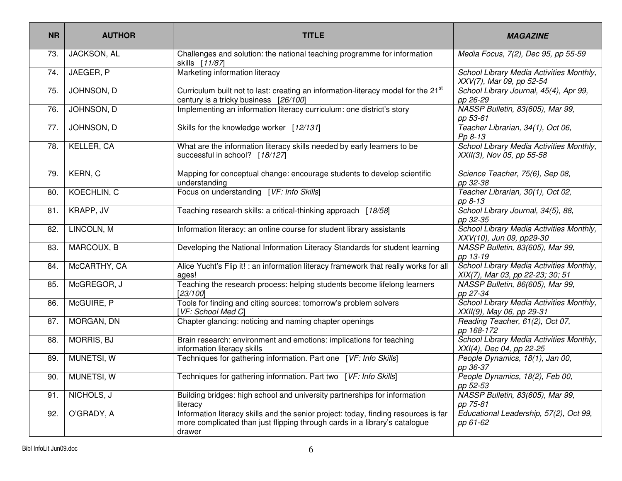| <b>NR</b> | <b>AUTHOR</b>     | <b>TITLE</b>                                                                                                                                                                | <b>MAGAZINE</b>                                                              |
|-----------|-------------------|-----------------------------------------------------------------------------------------------------------------------------------------------------------------------------|------------------------------------------------------------------------------|
| 73.       | JACKSON, AL       | Challenges and solution: the national teaching programme for information<br>skills [11/87]                                                                                  | Media Focus, 7(2), Dec 95, pp 55-59                                          |
| 74.       | JAEGER, P         | Marketing information literacy                                                                                                                                              | School Library Media Activities Monthly,<br>XXV(7), Mar 09, pp 52-54         |
| 75.       | JOHNSON, D        | Curriculum built not to last: creating an information-literacy model for the 21 <sup>st</sup><br>century is a tricky business [26/100]                                      | School Library Journal, 45(4), Apr 99,<br>pp 26-29                           |
| 76.       | JOHNSON, D        | Implementing an information literacy curriculum: one district's story                                                                                                       | NASSP Bulletin, 83(605), Mar 99,<br>pp 53-61                                 |
| 77.       | JOHNSON, D        | Skills for the knowledge worker [12/131]                                                                                                                                    | Teacher Librarian, 34(1), Oct 06,<br>Pp 8-13                                 |
| 78.       | KELLER, CA        | What are the information literacy skills needed by early learners to be<br>successful in school? [18/127]                                                                   | School Library Media Activities Monthly,<br>XXII(3), Nov 05, pp 55-58        |
| 79.       | KERN, C           | Mapping for conceptual change: encourage students to develop scientific<br>understanding                                                                                    | Science Teacher, 75(6), Sep 08,<br>pp 32-38                                  |
| 80.       | KOECHLIN, C       | Focus on understanding [VF: Info Skills]                                                                                                                                    | Teacher Librarian, 30(1), Oct 02,<br>pp 8-13                                 |
| 81.       | KRAPP, JV         | Teaching research skills: a critical-thinking approach [18/58]                                                                                                              | School Library Journal, 34(5), 88,<br>pp 32-35                               |
| 82.       | LINCOLN, M        | Information literacy: an online course for student library assistants                                                                                                       | School Library Media Activities Monthly,<br>XXV(10), Jun 09, pp29-30         |
| 83.       | MARCOUX, B        | Developing the National Information Literacy Standards for student learning                                                                                                 | NASSP Bulletin, 83(605), Mar 99,<br>pp 13-19                                 |
| 84.       | McCARTHY, CA      | Alice Yucht's Flip it! : an information literacy framework that really works for all<br>ages!                                                                               | School Library Media Activities Monthly,<br>XIX(7), Mar 03, pp 22-23; 30; 51 |
| 85.       | McGREGOR, J       | Teaching the research process: helping students become lifelong learners<br>[23/100]                                                                                        | NASSP Bulletin, 86(605), Mar 99,<br>pp 27-34                                 |
| 86.       | McGUIRE, P        | Tools for finding and citing sources: tomorrow's problem solvers<br>[VF: School Med C]                                                                                      | School Library Media Activities Monthly,<br>XXII(9), May 06, pp 29-31        |
| 87.       | MORGAN, DN        | Chapter glancing: noticing and naming chapter openings                                                                                                                      | Reading Teacher, 61(2), Oct 07,<br>pp 168-172                                |
| 88.       | <b>MORRIS, BJ</b> | Brain research: environment and emotions: implications for teaching<br>information literacy skills                                                                          | School Library Media Activities Monthly,<br>XXI(4), Dec 04, pp 22-25         |
| 89.       | MUNETSI, W        | Techniques for gathering information. Part one [VF: Info Skills]                                                                                                            | People Dynamics, 18(1), Jan 00,<br>pp 36-37                                  |
| 90.       | MUNETSI, W        | Techniques for gathering information. Part two [VF: Info Skills]                                                                                                            | People Dynamics, 18(2), Feb 00,<br>pp 52-53                                  |
| 91.       | NICHOLS, J        | Building bridges: high school and university partnerships for information<br>literacy                                                                                       | NASSP Bulletin, 83(605), Mar 99,<br>pp 75-81                                 |
| 92.       | O'GRADY, A        | Information literacy skills and the senior project: today, finding resources is far<br>more complicated than just flipping through cards in a library's catalogue<br>drawer | Educational Leadership, 57(2), Oct 99,<br>pp 61-62                           |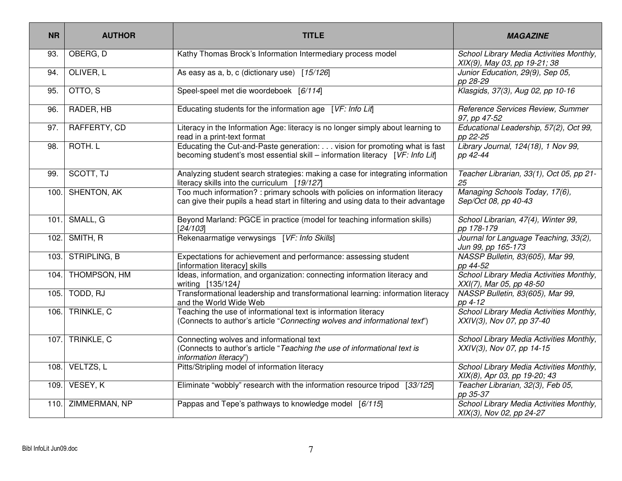| <b>NR</b> | <b>AUTHOR</b>          | <b>TITLE</b>                                                                                                                                                       | <b>MAGAZINE</b>                                                          |
|-----------|------------------------|--------------------------------------------------------------------------------------------------------------------------------------------------------------------|--------------------------------------------------------------------------|
| 93.       | OBERG, D               | Kathy Thomas Brock's Information Intermediary process model                                                                                                        | School Library Media Activities Monthly,<br>XIX(9), May 03, pp 19-21; 38 |
| 94.       | OLIVER, L              | As easy as a, b, c (dictionary use) [15/126]                                                                                                                       | Junior Education, 29(9), Sep 05,<br>pp 28-29                             |
| 95.       | OTTO, S                | Speel-speel met die woordeboek [6/114]                                                                                                                             | Klasgids, 37(3), Aug 02, pp 10-16                                        |
| 96.       | RADER, HB              | Educating students for the information age [VF: Info Lif]                                                                                                          | Reference Services Review, Summer<br>97, pp 47-52                        |
| 97.       | RAFFERTY, CD           | Literacy in the Information Age: literacy is no longer simply about learning to<br>read in a print-text format                                                     | Educational Leadership, 57(2), Oct 99,<br>pp 22-25                       |
| 98.       | ROTH. L                | Educating the Cut-and-Paste generation: vision for promoting what is fast<br>becoming student's most essential skill – information literacy [VF: Info Lif]         | Library Journal, 124(18), 1 Nov 99,<br>pp 42-44                          |
| 99.       | SCOTT, TJ              | Analyzing student search strategies: making a case for integrating information<br>literacy skills into the curriculum [19/127]                                     | Teacher Librarian, 33(1), Oct 05, pp 21-<br>25                           |
| 100.      | SHENTON, AK            | Too much information? : primary schools with policies on information literacy<br>can give their pupils a head start in filtering and using data to their advantage | Managing Schools Today, 17(6),<br>Sep/Oct 08, pp 40-43                   |
|           | 101. SMALL, G          | Beyond Marland: PGCE in practice (model for teaching information skills)<br>[24/103]                                                                               | School Librarian, 47(4), Winter 99,<br>pp 178-179                        |
|           | 102. SMITH, R          | Rekenaarmatige verwysings [VF: Info Skills]                                                                                                                        | Journal for Language Teaching, 33(2),<br>Jun 99, pp 165-173              |
|           | 103. STRIPLING, B      | Expectations for achievement and performance: assessing student<br>[information literacy] skills                                                                   | NASSP Bulletin, 83(605), Mar 99,<br>pp 44-52                             |
| 104.      | <b>THOMPSON, HM</b>    | Ideas, information, and organization: connecting information literacy and<br>writing [135/124]                                                                     | School Library Media Activities Monthly,<br>XXI(7), Mar 05, pp 48-50     |
| 105.      | TODD, RJ               | Transformational leadership and transformational learning: information literacy<br>and the World Wide Web                                                          | NASSP Bulletin, 83(605), Mar 99,<br>pp 4-12                              |
| 106.      | TRINKLE, C             | Teaching the use of informational text is information literacy<br>(Connects to author's article "Connecting wolves and informational text")                        | School Library Media Activities Monthly,<br>XXIV(3), Nov 07, pp 37-40    |
|           | <b>107.</b> TRINKLE, C | Connecting wolves and informational text<br>(Connects to author's article "Teaching the use of informational text is<br>information literacy")                     | School Library Media Activities Monthly,<br>XXIV(3), Nov 07, pp 14-15    |
| 108.      | VELTZS, L              | Pitts/Stripling model of information literacy                                                                                                                      | School Library Media Activities Monthly,<br>XIX(8), Apr 03, pp 19-20; 43 |
| 109.      | VESEY, K               | Eliminate "wobbly" research with the information resource tripod [33/125]                                                                                          | Teacher Librarian, 32(3), Feb 05,<br>pp 35-37                            |
| 110.      | ZIMMERMAN, NP          | Pappas and Tepe's pathways to knowledge model [6/115]                                                                                                              | School Library Media Activities Monthly,<br>XIX(3), Nov 02, pp 24-27     |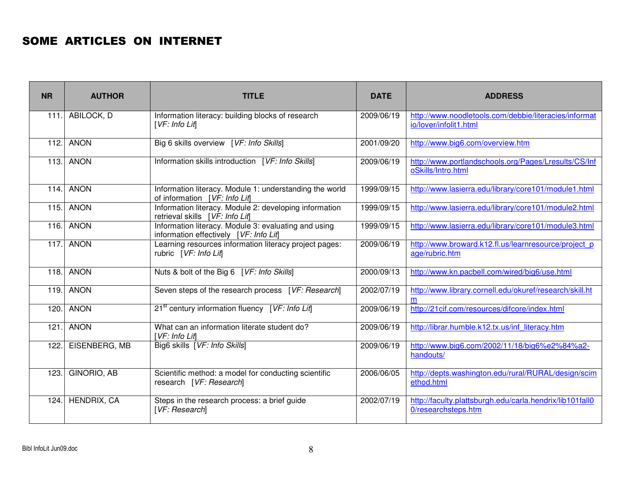#### SOME ARTICLES ON INTERNET

| <b>NR</b> | <b>AUTHOR</b>    | <b>TITLE</b>                                                                                   | <b>DATE</b> | <b>ADDRESS</b>                                                                  |
|-----------|------------------|------------------------------------------------------------------------------------------------|-------------|---------------------------------------------------------------------------------|
|           | 111. ABILOCK, D  | Information literacy: building blocks of research<br>[VF:Info Lift]                            | 2009/06/19  | http://www.noodletools.com/debbie/literacies/informat<br>io/lover/infolit1.html |
|           | 112. ANON        | Big 6 skills overview [VF: Info Skills]                                                        | 2001/09/20  | http://www.big6.com/overview.htm                                                |
|           | 113. ANON        | Information skills introduction [VF: Info Skills]                                              | 2009/06/19  | http://www.portlandschools.org/Pages/Lresults/CS/Inf<br>oSkills/Intro.html      |
|           | $114.$ ANON      | Information literacy. Module 1: understanding the world<br>of information [VF: Info Lif]       | 1999/09/15  | http://www.lasierra.edu/library/core101/module1.html                            |
| 115.      | <b>ANON</b>      | Information literacy. Module 2: developing information<br>retrieval skills [VF: Info Lit]      | 1999/09/15  | http://www.lasierra.edu/library/core101/module2.html                            |
| 116.1     | <b>ANON</b>      | Information literacy. Module 3: evaluating and using<br>information effectively [VF: Info Lif] | 1999/09/15  | http://www.lasierra.edu/library/core101/module3.html                            |
|           | <b>117. ANON</b> | Learning resources information literacy project pages:<br>rubric [VF: Info Lif]                | 2009/06/19  | http://www.broward.k12.fl.us/learnresource/project p<br>age/rubric.htm          |
|           | 118. ANON        | Nuts & bolt of the Big 6 [VF: Info Skills]                                                     | 2000/09/13  | http://www.kn.pacbell.com/wired/big6/use.html                                   |
| 119.      | <b>ANON</b>      | Seven steps of the research process [VF: Research]                                             | 2002/07/19  | http://www.library.cornell.edu/okuref/research/skill.ht<br>m                    |
| 120.      | <b>ANON</b>      | 21 <sup>st</sup> century information fluency [VF: Info Lif]                                    | 2009/06/19  | http://21cif.com/resources/difcore/index.html                                   |
| 121.      | <b>ANON</b>      | What can an information literate student do?<br>[VF: Info Lif]                                 | 2009/06/19  | http://librar.humble.k12.tx.us/inf literacy.htm                                 |
| 122.1     | EISENBERG, MB    | Big6 skills [VF: Info Skills]                                                                  | 2009/06/19  | http://www.big6.com/2002/11/18/big6%e2%84%a2-<br>handouts/                      |
| 123.      | GINORIO, AB      | Scientific method: a model for conducting scientific<br>research [VF: Research]                | 2006/06/05  | http://depts.washington.edu/rural/RURAL/design/scim<br>ethod.html               |
| 124.      | HENDRIX, CA      | Steps in the research process: a brief guide<br>[VF: Research]                                 | 2002/07/19  | http://faculty.plattsburgh.edu/carla.hendrix/lib101fall0<br>0/researchsteps.htm |